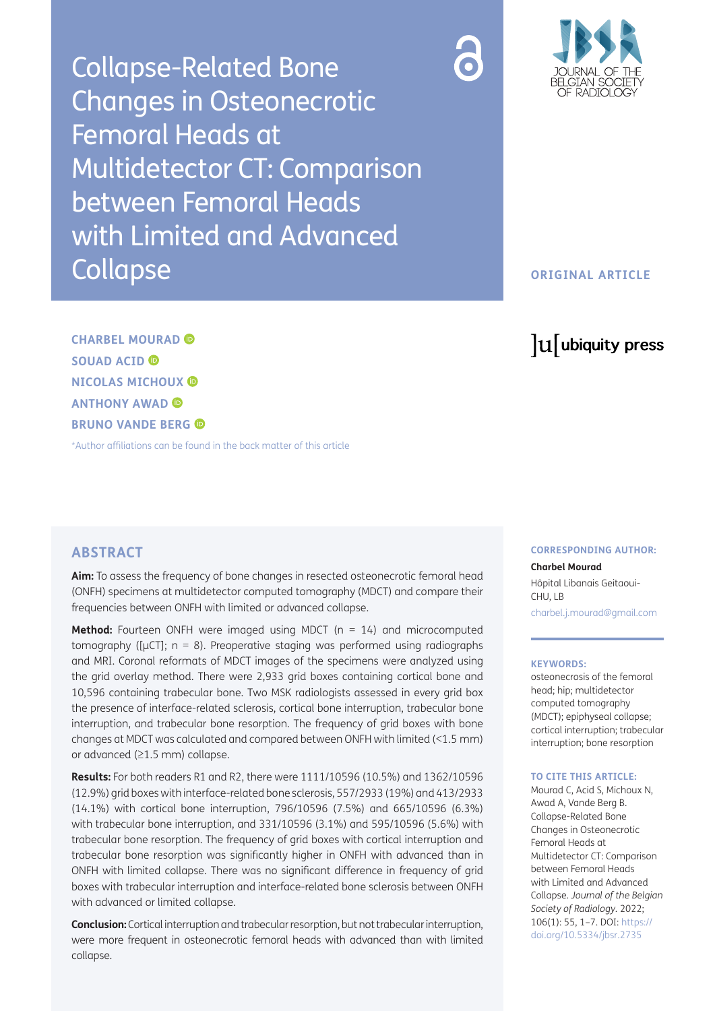Collapse-Related Bone Changes in Osteonecrotic Femoral Heads at Multidetector CT: Comparison between Femoral Heads with Limited and Advanced **Collapse** 



# **ORIGINAL ARTICLE**

# lu ubiquity press

**CHARBEL MOURAD SOUAD ACID NICOLAS MICHOUX ANTHONY AWAD BRUNO VANDE BERG** 

[\\*Author affiliations can be found in the back matter of this article](#page-5-0)

# **ABSTRACT**

**Aim:** To assess the frequency of bone changes in resected osteonecrotic femoral head (ONFH) specimens at multidetector computed tomography (MDCT) and compare their frequencies between ONFH with limited or advanced collapse.

**Method:** Fourteen ONFH were imaged using MDCT (n = 14) and microcomputed tomography ( $\mu$ CT); n = 8). Preoperative staging was performed using radiographs and MRI. Coronal reformats of MDCT images of the specimens were analyzed using the grid overlay method. There were 2,933 grid boxes containing cortical bone and 10,596 containing trabecular bone. Two MSK radiologists assessed in every grid box the presence of interface-related sclerosis, cortical bone interruption, trabecular bone interruption, and trabecular bone resorption. The frequency of grid boxes with bone changes at MDCT was calculated and compared between ONFH with limited (<1.5 mm) or advanced (≥1.5 mm) collapse.

**Results:** For both readers R1 and R2, there were 1111/10596 (10.5%) and 1362/10596 (12.9%) grid boxes with interface-related bone sclerosis, 557/2933 (19%) and 413/2933 (14.1%) with cortical bone interruption, 796/10596 (7.5%) and 665/10596 (6.3%) with trabecular bone interruption, and 331/10596 (3.1%) and 595/10596 (5.6%) with trabecular bone resorption. The frequency of grid boxes with cortical interruption and trabecular bone resorption was significantly higher in ONFH with advanced than in ONFH with limited collapse. There was no significant difference in frequency of grid boxes with trabecular interruption and interface-related bone sclerosis between ONFH with advanced or limited collapse.

**Conclusion:** Cortical interruption and trabecular resorption, but not trabecular interruption, were more frequent in osteonecrotic femoral heads with advanced than with limited collapse.

#### **CORRESPONDING AUTHOR:**

**Charbel Mourad** Hôpital Libanais Geitaoui-CHU, LB

[charbel.j.mourad@gmail.com](mailto:charbel.j.mourad@gmail.com)

#### **KEYWORDS:**

osteonecrosis of the femoral head; hip; multidetector computed tomography (MDCT); epiphyseal collapse; cortical interruption; trabecular interruption; bone resorption

#### **TO CITE THIS ARTICLE:**

Mourad C, Acid S, Michoux N, Awad A, Vande Berg B. Collapse-Related Bone Changes in Osteonecrotic Femoral Heads at Multidetector CT: Comparison between Femoral Heads with Limited and Advanced Collapse. *Journal of the Belgian Society of Radiology.* 2022; 106(1): 55, 1–7. DOI: [https://](https://doi.org/10.5334/jbsr.2735) [doi.org/10.5334/jbsr.2735](https://doi.org/10.5334/jbsr.2735)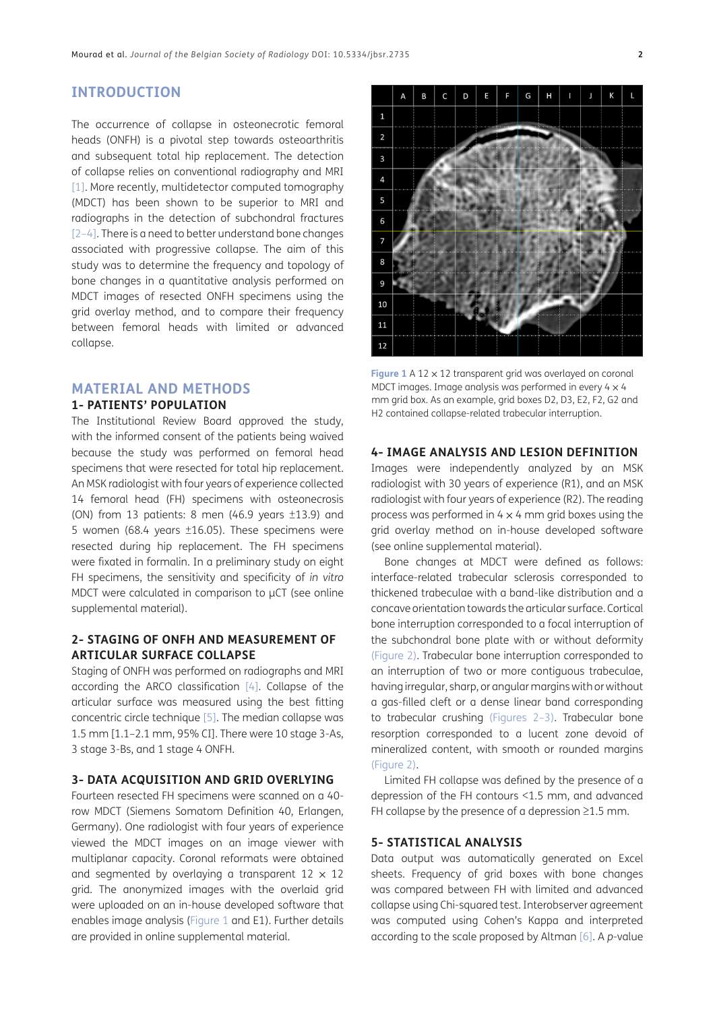# **INTRODUCTION**

The occurrence of collapse in osteonecrotic femoral heads (ONFH) is a pivotal step towards osteoarthritis and subsequent total hip replacement. The detection of collapse relies on conventional radiography and MRI [[1\]](#page-5-1). More recently, multidetector computed tomography (MDCT) has been shown to be superior to MRI and radiographs in the detection of subchondral fractures [[2](#page-5-2)[–4\]](#page-5-3). There is a need to better understand bone changes associated with progressive collapse. The aim of this study was to determine the frequency and topology of bone changes in a quantitative analysis performed on MDCT images of resected ONFH specimens using the grid overlay method, and to compare their frequency between femoral heads with limited or advanced collapse.

# **MATERIAL AND METHODS**

#### **1- PATIENTS' POPULATION**

The Institutional Review Board approved the study, with the informed consent of the patients being waived because the study was performed on femoral head specimens that were resected for total hip replacement. An MSK radiologist with four years of experience collected 14 femoral head (FH) specimens with osteonecrosis (ON) from 13 patients: 8 men (46.9 years ±13.9) and 5 women (68.4 years ±16.05). These specimens were resected during hip replacement. The FH specimens were fixated in formalin. In a preliminary study on eight FH specimens, the sensitivity and specificity of *in vitro* MDCT were calculated in comparison to  $\mu$ CT (see online supplemental material).

#### **2- STAGING OF ONFH AND MEASUREMENT OF ARTICULAR SURFACE COLLAPSE**

Staging of ONFH was performed on radiographs and MRI according the ARCO classification [\[4](#page-5-3)]. Collapse of the articular surface was measured using the best fitting concentric circle technique [\[5](#page-6-0)]. The median collapse was 1.5 mm [1.1–2.1 mm, 95% CI]. There were 10 stage 3-As, 3 stage 3-Bs, and 1 stage 4 ONFH.

#### **3- DATA ACQUISITION AND GRID OVERLYING**

Fourteen resected FH specimens were scanned on a 40 row MDCT (Siemens Somatom Definition 40, Erlangen, Germany). One radiologist with four years of experience viewed the MDCT images on an image viewer with multiplanar capacity. Coronal reformats were obtained and segmented by overlaying a transparent  $12 \times 12$ grid. The anonymized images with the overlaid grid were uploaded on an in-house developed software that enables image analysis ([Figure 1](#page-1-0) and E1). Further details are provided in online supplemental material.



<span id="page-1-0"></span>**Figure 1** A 12 x 12 transparent grid was overlayed on coronal MDCT images. Image analysis was performed in every  $4 \times 4$ mm grid box. As an example, grid boxes D2, D3, E2, F2, G2 and H2 contained collapse-related trabecular interruption.

#### **4- IMAGE ANALYSIS AND LESION DEFINITION**

Images were independently analyzed by an MSK radiologist with 30 years of experience (R1), and an MSK radiologist with four years of experience (R2). The reading process was performed in  $4 \times 4$  mm grid boxes using the grid overlay method on in-house developed software (see online supplemental material).

Bone changes at MDCT were defined as follows: interface-related trabecular sclerosis corresponded to thickened trabeculae with a band-like distribution and a concave orientation towards the articular surface. Cortical bone interruption corresponded to a focal interruption of the subchondral bone plate with or without deformity ([Figure 2](#page-2-0)). Trabecular bone interruption corresponded to an interruption of two or more contiguous trabeculae, having irregular, sharp, or angular margins with or without a gas-filled cleft or a dense linear band corresponding to trabecular crushing [\(Figures 2](#page-2-0)[–3\)](#page-2-1). Trabecular bone resorption corresponded to a lucent zone devoid of mineralized content, with smooth or rounded margins ([Figure 2\)](#page-2-0).

Limited FH collapse was defined by the presence of a depression of the FH contours <1.5 mm, and advanced FH collapse by the presence of a depression  $\geq$ 1.5 mm.

#### **5- STATISTICAL ANALYSIS**

Data output was automatically generated on Excel sheets. Frequency of grid boxes with bone changes was compared between FH with limited and advanced collapse using Chi-squared test. Interobserver agreement was computed using Cohen's Kappa and interpreted according to the scale proposed by Altman [\[6\]](#page-6-1). A *p*-value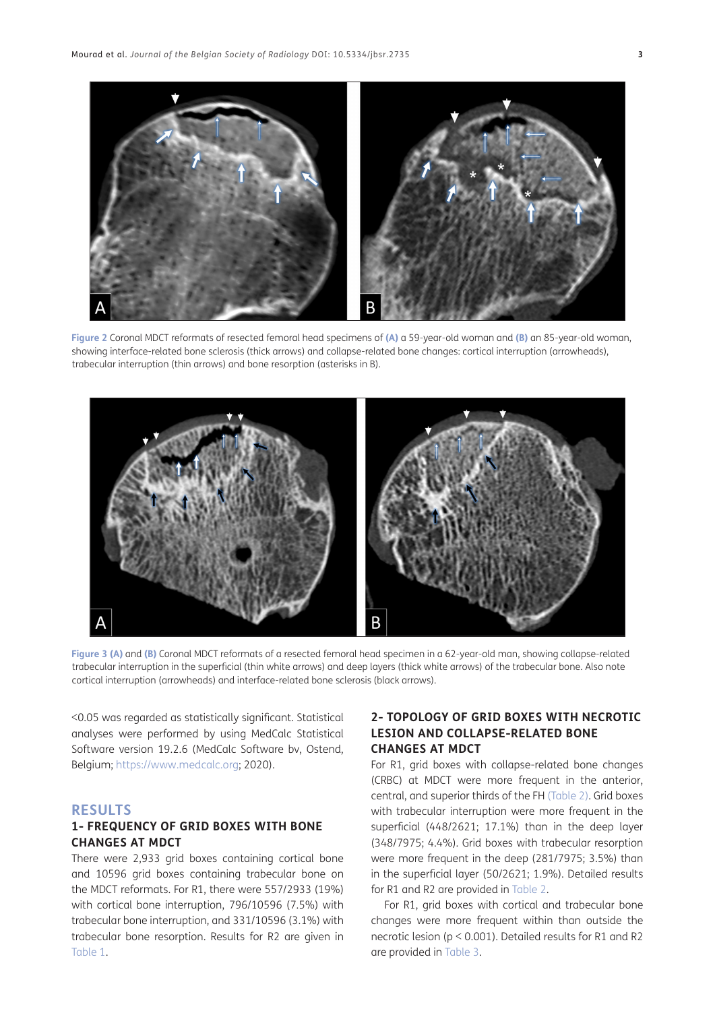

<span id="page-2-0"></span>**Figure 2** Coronal MDCT reformats of resected femoral head specimens of **(A)** a 59-year-old woman and **(B)** an 85-year-old woman, showing interface-related bone sclerosis (thick arrows) and collapse-related bone changes: cortical interruption (arrowheads), trabecular interruption (thin arrows) and bone resorption (asterisks in B).



<span id="page-2-1"></span>**Figure 3 (A)** and **(B)** Coronal MDCT reformats of a resected femoral head specimen in a 62-year-old man, showing collapse-related trabecular interruption in the superficial (thin white arrows) and deep layers (thick white arrows) of the trabecular bone. Also note cortical interruption (arrowheads) and interface-related bone sclerosis (black arrows).

<0.05 was regarded as statistically significant. Statistical analyses were performed by using MedCalc Statistical Software version 19.2.6 (MedCalc Software bv, Ostend, Belgium; [https://www.medcalc.org;](https://www.medcalc.org) 2020).

### **RESULTS**

#### **1- FREQUENCY OF GRID BOXES WITH BONE CHANGES AT MDCT**

There were 2,933 grid boxes containing cortical bone and 10596 grid boxes containing trabecular bone on the MDCT reformats. For R1, there were 557/2933 (19%) with cortical bone interruption, 796/10596 (7.5%) with trabecular bone interruption, and 331/10596 (3.1%) with trabecular bone resorption. Results for R2 are given in [Table 1](#page-3-0).

### **2- TOPOLOGY OF GRID BOXES WITH NECROTIC LESION AND COLLAPSE-RELATED BONE CHANGES AT MDCT**

For R1, grid boxes with collapse-related bone changes (CRBC) at MDCT were more frequent in the anterior, central, and superior thirds of the FH ([Table 2](#page-4-0)). Grid boxes with trabecular interruption were more frequent in the superficial (448/2621; 17.1%) than in the deep layer (348/7975; 4.4%). Grid boxes with trabecular resorption were more frequent in the deep (281/7975; 3.5%) than in the superficial layer (50/2621; 1.9%). Detailed results for R1 and R2 are provided in [Table 2](#page-4-0).

For R1, grid boxes with cortical and trabecular bone changes were more frequent within than outside the necrotic lesion (p < 0.001). Detailed results for R1 and R2 are provided in [Table 3](#page-5-4).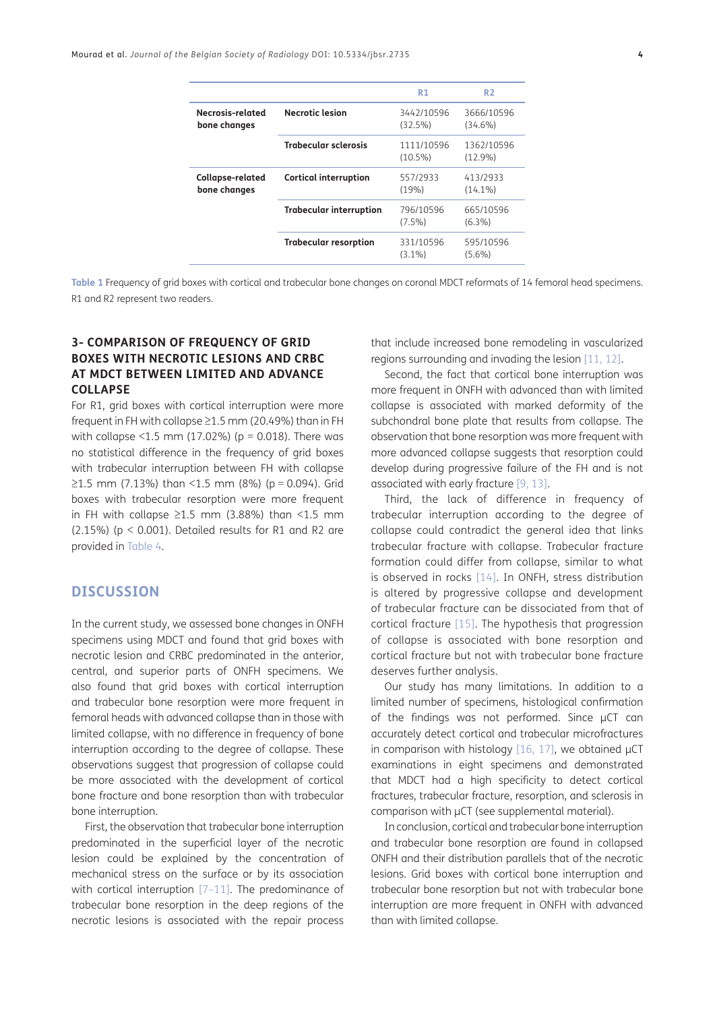|                                  |                                | R1                       | R <sub>2</sub>           |  |
|----------------------------------|--------------------------------|--------------------------|--------------------------|--|
| Necrosis-related<br>bone changes | Necrotic lesion                | 3442/10596<br>(32.5%)    | 3666/10596<br>$(34.6\%)$ |  |
|                                  | <b>Trabecular sclerosis</b>    | 1111/10596<br>$(10.5\%)$ | 1362/10596<br>$(12.9\%)$ |  |
| Collapse-related<br>bone changes | <b>Cortical interruption</b>   | 557/2933<br>(19%)        | 413/2933<br>$(14.1\%)$   |  |
|                                  | <b>Trabecular interruption</b> | 796/10596<br>$(7.5\%)$   | 665/10596<br>$(6.3\%)$   |  |
|                                  | <b>Trabecular resorption</b>   | 331/10596<br>$(3.1\%)$   | 595/10596<br>$(5.6\%)$   |  |

<span id="page-3-0"></span>**Table 1** Frequency of grid boxes with cortical and trabecular bone changes on coronal MDCT reformats of 14 femoral head specimens. R1 and R2 represent two readers.

### **3- COMPARISON OF FREQUENCY OF GRID BOXES WITH NECROTIC LESIONS AND CRBC AT MDCT BETWEEN LIMITED AND ADVANCE COLLAPSE**

For R1, grid boxes with cortical interruption were more frequent in FH with collapse ≥1.5 mm (20.49%) than in FH with collapse <1.5 mm (17.02%) ( $p = 0.018$ ). There was no statistical difference in the frequency of grid boxes with trabecular interruption between FH with collapse  $≥1.5$  mm (7.13%) than <1.5 mm (8%) (p = 0.094). Grid boxes with trabecular resorption were more frequent in FH with collapse  $\geq$ 1.5 mm (3.88%) than <1.5 mm (2.15%) ( $p < 0.001$ ). Detailed results for R1 and R2 are provided in [Table 4.](#page-5-5)

### **DISCUSSION**

In the current study, we assessed bone changes in ONFH specimens using MDCT and found that grid boxes with necrotic lesion and CRBC predominated in the anterior, central, and superior parts of ONFH specimens. We also found that grid boxes with cortical interruption and trabecular bone resorption were more frequent in femoral heads with advanced collapse than in those with limited collapse, with no difference in frequency of bone interruption according to the degree of collapse. These observations suggest that progression of collapse could be more associated with the development of cortical bone fracture and bone resorption than with trabecular bone interruption.

First, the observation that trabecular bone interruption predominated in the superficial layer of the necrotic lesion could be explained by the concentration of mechanical stress on the surface or by its association with cortical interruption [7-[11\]](#page-6-3). The predominance of trabecular bone resorption in the deep regions of the necrotic lesions is associated with the repair process that include increased bone remodeling in vascularized regions surrounding and invading the lesion [\[11,](#page-6-3) [12](#page-6-4)].

Second, the fact that cortical bone interruption was more frequent in ONFH with advanced than with limited collapse is associated with marked deformity of the subchondral bone plate that results from collapse. The observation that bone resorption was more frequent with more advanced collapse suggests that resorption could develop during progressive failure of the FH and is not associated with early fracture [\[9](#page-6-5), [13](#page-6-6)].

Third, the lack of difference in frequency of trabecular interruption according to the degree of collapse could contradict the general idea that links trabecular fracture with collapse. Trabecular fracture formation could differ from collapse, similar to what is observed in rocks [[14](#page-6-7)]. In ONFH, stress distribution is altered by progressive collapse and development of trabecular fracture can be dissociated from that of cortical fracture [[15\]](#page-6-8). The hypothesis that progression of collapse is associated with bone resorption and cortical fracture but not with trabecular bone fracture deserves further analysis.

Our study has many limitations. In addition to a limited number of specimens, histological confirmation of the findings was not performed. Since µCT can accurately detect cortical and trabecular microfractures in comparison with histology  $[16, 17]$  $[16, 17]$  $[16, 17]$  $[16, 17]$ , we obtained  $\mu$ CT examinations in eight specimens and demonstrated that MDCT had a high specificity to detect cortical fractures, trabecular fracture, resorption, and sclerosis in comparison with  $\mu$ CT (see supplemental material).

In conclusion, cortical and trabecular bone interruption and trabecular bone resorption are found in collapsed ONFH and their distribution parallels that of the necrotic lesions. Grid boxes with cortical bone interruption and trabecular bone resorption but not with trabecular bone interruption are more frequent in ONFH with advanced than with limited collapse.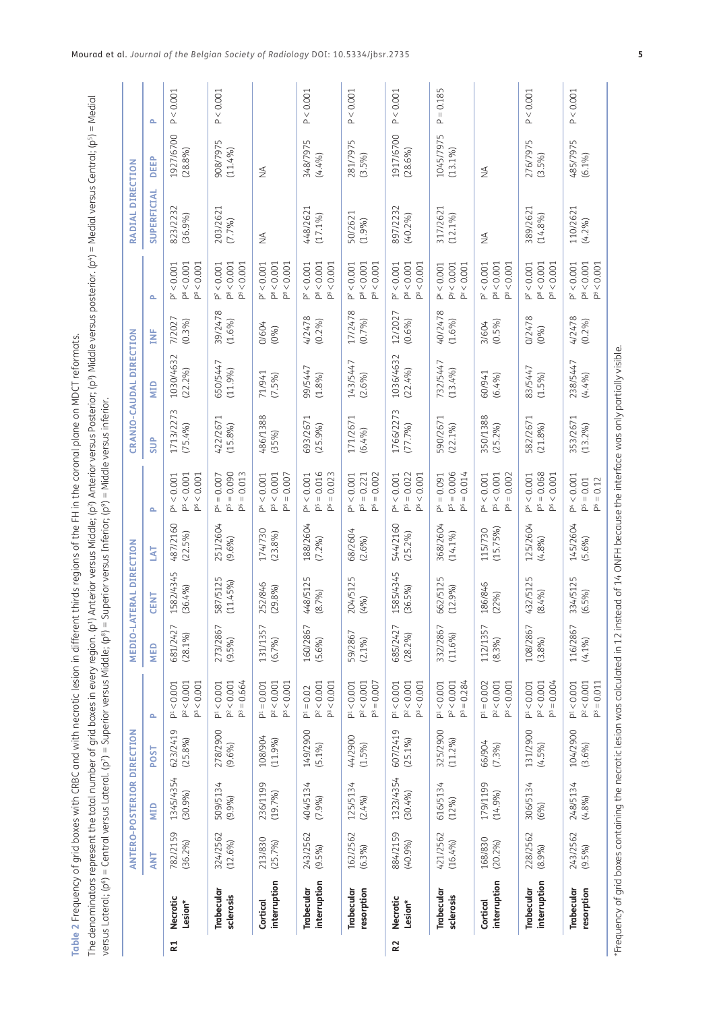<span id="page-4-0"></span>

| ļ                |
|------------------|
|                  |
|                  |
|                  |
|                  |
|                  |
| ļ                |
| l                |
|                  |
|                  |
|                  |
| l                |
|                  |
|                  |
|                  |
|                  |
|                  |
|                  |
| ļ                |
| Ï                |
|                  |
|                  |
| ī<br>j           |
|                  |
|                  |
|                  |
|                  |
|                  |
|                  |
|                  |
|                  |
|                  |
| ۱                |
|                  |
|                  |
|                  |
|                  |
|                  |
| t                |
|                  |
|                  |
|                  |
|                  |
| i                |
|                  |
|                  |
|                  |
|                  |
|                  |
|                  |
|                  |
|                  |
|                  |
|                  |
|                  |
|                  |
|                  |
|                  |
|                  |
|                  |
|                  |
| 1                |
| j<br>֕           |
| ï<br>j           |
| l<br>F           |
| Ξ                |
|                  |
| l                |
|                  |
| J                |
| j<br>1           |
| j<br>Ï<br>j      |
| j                |
| l                |
| I<br>I           |
| ¢<br>ĵ<br>١      |
| i<br>ć<br>l<br>ţ |

The denominators represent the total number of grid boxes in every region. (p<sup>.</sup>) Anterior versus Middle; (p<sup>.</sup>) Anterior versus Posterior; (p<sup>.</sup>) Widdle versus posterior. (p<sup>.</sup>) = Medial versus Central; (p<sup>5</sup>) = Medial The denominators represent the total number of grid boxes in every region. (p1) Anterior versus Middle; (p2) Anterior versus Posterior; (p3) Middle versus posterior. (p4) = Medial versus Central; (p5) = Medial versus Lateral; (pº) = Central versus Lateral. (p?) = Superior versus Middle; (pº) = Superior versus Inferior; (pº) = Middle versus inferior. versus Lateral; (p6) = Central versus Lateral. (p7) = Superior versus Middle; (p8) = Superior versus Inferior; (p9) = Middle versus inferior.

|                |                            |                       | <b>ANTERO-POSTERIOR DIRECTION</b> |                        |                                                   |                        | <b>MEDIO-LATERAL DIRECTION</b> |                        |                                                                           |                        | CRANIO-CAUDAL DIRECTION |                   |                                                                                  | RADIAL DIRECTION             |                         |             |
|----------------|----------------------------|-----------------------|-----------------------------------|------------------------|---------------------------------------------------|------------------------|--------------------------------|------------------------|---------------------------------------------------------------------------|------------------------|-------------------------|-------------------|----------------------------------------------------------------------------------|------------------------------|-------------------------|-------------|
|                |                            | ANT                   | NID                               | POST                   | Δ.                                                | MED                    | <b>CENT</b>                    | <b>TYT</b>             | Δ.                                                                        | <b>SUP</b>             | QIM                     | È                 | م                                                                                | SUPERFICIAL                  | <b>DEEP</b>             | Δ.          |
| R1             | Necrotic<br>Lesion*        | 782/2159<br>(36.2%)   | 1345/4354<br>(30.9%)              | 623/2419<br>(25.8%)    | $P^{1} < 0.001$<br>$P^2 < 0.001$<br>$P^3 < 0.001$ | 681/242<br>$(28.1\%)$  | 1582/4345<br>(36.4%)           | 487/2160<br>(22.5%)    | $P^5 < 0.001$<br>$P^6 < 0.001$<br>$P^4 < 0.001$                           | 1713/2273<br>(75.4%)   | 1030/4632<br>$(22.2\%)$ | 7/2027<br>(0.3%)  | $P^8 < 0.001$<br>$P^9 < 0.001$<br>0.001<br>À                                     | 823/2232<br>(36.9%)          | 1927/6700<br>(28.8%)    | P < 0.001   |
|                | Trabecular<br>sclerosis    | 324/2562<br>(12.6%)   | 509/5134<br>(9.9%)                | 278/2900<br>(9.6%)     | $P^3 = 0.664$<br>$P^2 < 0.001$<br>P< 0.001        | 273/2867<br>$(9.5\%)$  | 587/5125<br>(11.45%)           | 251/2604<br>(9.6%)     | $P5 = 0.090$<br>$P^6 = 0.013$<br>$P^4 = 0.007$                            | 422/2671<br>(15.8%)    | 650/5447<br>(11.9%)     | 39/2478<br>(1.6%) | $P^8 < 0.001$<br>$P^9 < 0.001$<br>$P^7 < 0.001$                                  | 203/2621<br>(7.7%)           | 908/7975<br>(11.4%)     | P < 0.001   |
|                | interruption<br>Cortical   | 213/830<br>(25.7%)    | 236/1199<br>(19.7%)               | 108/904<br>(11.9%      | $P^2 < 0.001$<br>$P^3 < 0.001$<br>$P1 = 0.001$    | 131/1357<br>(6.7%)     | 252/846<br>(29.8%              | 174/730<br>(23.8%)     | $P^6 = 0.007$<br>$P^5 < 0.001$<br>$P^4 < 0.001$                           | 486/1388<br>(35%)      | 71/941<br>$(7.5\%)$     | 0/604<br>(0%)     | $P^8 < 0.001$<br>$P^9 < 0.001$<br>$P^7 < 0.001$                                  | $\stackrel{\triangle}{\geq}$ | $\lessgtr$              |             |
|                | interruption<br>Trabecular | 243/2562<br>$(9.5\%)$ | 404/5134<br>(7.9%)                | 149/2900<br>(5.1%)     | $P^2 < 0.001$<br>$P^3 < 0.001$<br>$P^1 = 0.02$    | 160/2867<br>(5.6%)     | 448/5125<br>(8.7%)             | 188/2604<br>$(7.2\%)$  | $P5 = 0.016$<br>$= 0.023$<br>$P^4 < 0.001$<br>å                           | 693/2671<br>(25.9%)    | 99/5447<br>(1.8%)       | 4/2478<br>(0.2%)  | $P^7 < 0.001$<br>$P^8 < 0.001$<br>$P^9 < 0.001$                                  | 448/2621<br>$(17.1\%)$       | 348/7975<br>(4.4%       | P < 0.001   |
|                | Trabecular<br>resorption   | 162/2562<br>(6.3%)    | 125/5134<br>(2.4%)                | 44/2900<br>(1.5%)      | $P^3 = 0.007$<br>$P^2 < 0.001$<br>P< 0.001        | 59/2867<br>$(2.1\%)$   | 204/5125<br>(4%)               | 68/2604<br>(2.6%)      | $= 0.002$<br>$P^4 < 0.001$<br>$P5 = 0.221$<br>$\Delta$                    | 171/2671<br>(6.4%)     | 143/5447<br>(2.6%)      | 17/2478<br>(0.7%) | $P^8 < 0.001$<br>< 0.001<br>$P^7 < 0.001$<br>$\mathbb{Z}$                        | 50/2621<br>(1.9%)            | 281/7975<br>$(3.5\%)$   | P < 0.001   |
| R <sub>2</sub> | Necrotic<br>Lesion*        | 884/2159<br>(40.9%    | 1323/4354<br>(30.4%)              | 607/2419<br>$(25.1\%)$ | $P^2 < 0.001$<br>P< 0.001<br>$P^3 < 0.001$        | 685/242<br>(28.2%)     | 1585/4345<br>(36.5%)           | 544/2160<br>(25.2%)    | $P5 = 0.022$<br>$P^6 < 0.001$<br>$P^4 < 0.001$                            | 1766/2273<br>(77.7%)   | 1036/4632<br>(22.4%)    | 12/2027<br>(0.6%) | $P^8 < 0.001$<br>$P^7 < 0.001$<br>$P^9 < 0.001$                                  | 897/2232<br>(40.2%)          | 1917/6700<br>(28.6%)    | P < 0.001   |
|                | Trabecular<br>sclerosis    | 421/2562<br>(16.4%)   | 616/5134<br>(12%)                 | 325/2900<br>$(11.2\%)$ | $P^3 = 0.284$<br>$P^2 < 0.001$<br>$P^1 < 0.001$   | 332/2867<br>$(11.6\%)$ | 662/5125<br>(12.9%)            | 368/2604<br>(14.1%     | $P5 = 0.006$<br>$P^6 = 0.014$<br>$P^4 = 0.091$                            | 590/2671<br>$(22.1\%)$ | 732/5447<br>$(13.4\%)$  | 40/2478<br>(1.6%) | PV < 0.001<br>< 0.001<br>$P^{\rm x} < 0.001$<br>$\tilde{\underline{\mathsf{L}}}$ | 317/2621<br>$(12.1\%)$       | 1045/7975<br>$(13.1\%)$ | $P = 0.185$ |
|                | interruption<br>Cortical   | 168/830<br>(20.2%)    | 179/1199<br>(14.9%)               | 66/904<br>$(7.3\%)$    | $P^2 < 0.001$<br>$P^1 = 0.002$<br>$P^3 < 0.001$   | 112/1357<br>(8.3%)     | 186/846<br>(22%)               | $(15.75\%)$<br>115/730 | 0.002<br>$P^5 < 0.001$<br>$P^4 < 0.001$<br>$\mathop{\rm H}\nolimits$<br>8 | 350/1388<br>(25.2%)    | 60/941<br>(6.4%)        | (0.5%)<br>3/604   | $P^8 < 0.001$<br>${}< 0.001$<br>< 0.001<br>À<br>$\Delta$                         | $\lessgtr$                   | ₹                       |             |
|                | interruption<br>Trabecular | 228/2562<br>(8.9%)    | 306/5134<br>(6%)                  | 131/2900<br>(4.5%)     | $P^3 = 0.004$<br>$P^2 < 0.001$<br>P< 0.001        | 108/2867<br>(3.8%)     | 432/5125<br>(8.4%)             | 125/2604<br>(4.8%      | $P5 = 0.068$<br>< 0.001<br>$P^4 < 0.001$<br>å                             | 582/2671<br>(21.8%)    | 83/5447<br>(1.5%)       | 0/2478<br>(0%)    | $P^7 < 0.001$<br>$P^8 < 0.001$<br>&0.001<br>å                                    | 389/2621<br>(14.8%           | 276/7975<br>$(3.5\%)$   | P < 0.001   |
|                | resorption<br>Trabecular   | 243/2562<br>$(9.5\%)$ | 248/5134<br>(4.8%                 | 104/2900<br>(3.6%)     | $P^3 = 0.011$<br>$P^2 < 0.001$<br>$P^{1} < 0.001$ | 116/2867<br>(4.1%)     | 334/5125<br>(6.5%)             | 145/2604<br>(5.6%)     | $P^4 < 0.001$<br>$= 0.12$<br>$P^5 = 0.01$<br>$\Delta$                     | 353/2671<br>(13.2%)    | 238/5447<br>(4.4%)      | 4/2478<br>(0.2%)  | $P^8 < 0.001$<br>0.001<br>$P^7 < 0.001$<br>å                                     | 110/2621<br>(4.2%)           | 485/7975<br>(6.1%)      | P < 0.001   |
|                |                            |                       |                                   |                        |                                                   |                        |                                |                        |                                                                           |                        |                         |                   |                                                                                  |                              |                         |             |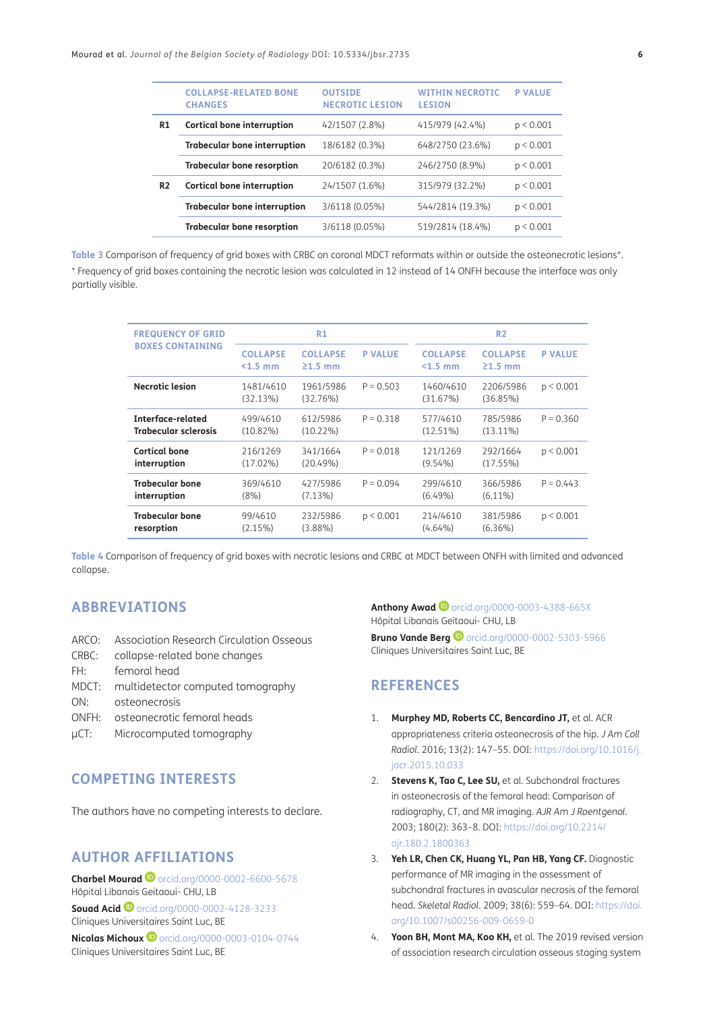|                | <b>COLLAPSE-RELATED BONE</b><br><b>CHANGES</b> | <b>OUTSIDE</b><br><b>NECROTIC LESION</b> | <b>WITHIN NECROTIC</b><br><b>LESTON</b> | <b>P VALUE</b> |
|----------------|------------------------------------------------|------------------------------------------|-----------------------------------------|----------------|
| R1             | <b>Cortical bone interruption</b>              | 42/1507 (2.8%)                           | 415/979 (42.4%)                         | p < 0.001      |
|                | <b>Trabecular bone interruption</b>            | 18/6182 (0.3%)                           | 648/2750 (23.6%)                        | p < 0.001      |
|                | <b>Trabecular bone resorption</b>              | 20/6182 (0.3%)                           | 246/2750 (8.9%)                         | p < 0.001      |
| R <sub>2</sub> | <b>Cortical bone interruption</b>              | 24/1507 (1.6%)                           | 315/979 (32.2%)                         | p < 0.001      |
|                | <b>Trabecular bone interruption</b>            | 3/6118 (0.05%)                           | 544/2814 (19.3%)                        | p < 0.001      |
|                | <b>Trabecular bone resorption</b>              | 3/6118 (0.05%)                           | 519/2814 (18.4%)                        | p < 0.001      |
|                |                                                |                                          |                                         |                |

<span id="page-5-4"></span>**Table 3** Comparison of frequency of grid boxes with CRBC on coronal MDCT reformats within or outside the osteonecrotic lesions\*. \* Frequency of grid boxes containing the necrotic lesion was calculated in 12 instead of 14 ONFH because the interface was only partially visible.

| <b>FREQUENCY OF GRID</b>                         |                              | R1                               |                |                              | R <sub>2</sub>               |                |
|--------------------------------------------------|------------------------------|----------------------------------|----------------|------------------------------|------------------------------|----------------|
| <b>BOXES CONTAINING</b>                          | <b>COLLAPSE</b><br>$<1.5$ mm | <b>COLLAPSE</b><br>$\geq 1.5$ mm | <b>P VALUE</b> | <b>COLLAPSE</b><br>$<1.5$ mm | <b>COLLAPSE</b><br>$21.5$ mm | <b>P VALUE</b> |
| <b>Necrotic lesion</b>                           | 1481/4610<br>(32.13%)        | 1961/5986<br>(32.76%)            | $P = 0.503$    | 1460/4610<br>(31.67%)        | 2206/5986<br>(36.85%)        | p < 0.001      |
| Interface-related<br><b>Trabecular sclerosis</b> | 499/4610<br>$(10.82\%)$      | 612/5986<br>$(10.22\%)$          | $P = 0.318$    | 577/4610<br>$(12.51\%)$      | 785/5986<br>$(13.11\%)$      | $P = 0.360$    |
| Cortical bone<br>interruption                    | 216/1269<br>$(17.02\%)$      | 341/1664<br>$(20.49\%)$          | $P = 0.018$    | 121/1269<br>$(9.54\%)$       | 292/1664<br>(17.55%)         | p < 0.001      |
| <b>Trabecular bone</b><br>interruption           | 369/4610<br>$(8\%)$          | 427/5986<br>$(7.13\%)$           | $P = 0.094$    | 299/4610<br>$(6.49\%)$       | 366/5986<br>$(6.11\%)$       | $P = 0.443$    |
| <b>Trabecular bone</b><br>resorption             | 99/4610<br>(2.15%)           | 232/5986<br>(3.88%)              | p < 0.001      | 214/4610<br>$(4.64\%)$       | 381/5986<br>$(6.36\%)$       | p < 0.001      |

<span id="page-5-5"></span>**Table 4** Comparison of frequency of grid boxes with necrotic lesions and CRBC at MDCT between ONFH with limited and advanced collapse.

#### **ABBREVIATIONS**

- ARCO: Association Research Circulation Osseous
- CRBC: collapse-related bone changes
- FH: femoral head
- MDCT: multidetector computed tomography
- ON: osteonecrosis
- ONFH: osteonecrotic femoral heads
- µCT: Microcomputed tomography

### **COMPETING INTERESTS**

The authors have no competing interests to declare.

### <span id="page-5-0"></span>**AUTHOR AFFILIATIONS**

**Charbel Mourad <sup>@</sup>** [orcid.org/0000-0002-6600-5678](https://orcid.org/0000-0002-6600-5678) Hôpital Libanais Geitaoui- CHU, LB **Souad Acid •** [orcid.org/0000-0002-4128-3233](https://orcid.org/0000-0002-4128-3233) Cliniques Universitaires Saint Luc, BE **Nicolas Michoux D** [orcid.org/0000-0003-0104-0744](https://orcid.org/0000-0003-0104-0744) Cliniques Universitaires Saint Luc, BE

**Anthony Awad**[orcid.org/0000-0003-4388-665X](https://orcid.org/0000-0003-4388-665X) Hôpital Libanais Geitaoui- CHU, LB **BrunoVande Berg**<sup>1</sup> [orcid.org/0000-0002-5303-5966](https://orcid.org/0000-0002-5303-5966) Cliniques Universitaires Saint Luc, BE

### **REFERENCES**

- <span id="page-5-1"></span>1. **Murphey MD, Roberts CC, Bencardino JT,** et al. ACR appropriateness criteria osteonecrosis of the hip. *J Am Coll Radiol*. 2016; 13(2): 147–55. DOI: [https://doi.org/10.1016/j.](https://doi.org/10.1016/j.jacr.2015.10.033) [jacr.2015.10.033](https://doi.org/10.1016/j.jacr.2015.10.033)
- <span id="page-5-2"></span>2. **Stevens K, Tao C, Lee SU,** et al. Subchondral fractures in osteonecrosis of the femoral head: Comparison of radiography, CT, and MR imaging. *AJR Am J Roentgenol*. 2003; 180(2): 363–8. DOI: [https://doi.org/10.2214/](https://doi.org/10.2214/ajr.180.2.1800363) [ajr.180.2.1800363](https://doi.org/10.2214/ajr.180.2.1800363)
- 3. **Yeh LR, Chen CK, Huang YL, Pan HB, Yang CF.** Diagnostic performance of MR imaging in the assessment of subchondral fractures in avascular necrosis of the femoral head. *Skeletal Radiol*. 2009; 38(6): 559–64. DOI: [https://doi.](https://doi.org/10.1007/s00256-009-0659-0) [org/10.1007/s00256-009-0659-0](https://doi.org/10.1007/s00256-009-0659-0)
- <span id="page-5-3"></span>4. **Yoon BH, Mont MA, Koo KH,** et al. The 2019 revised version of association research circulation osseous staging system